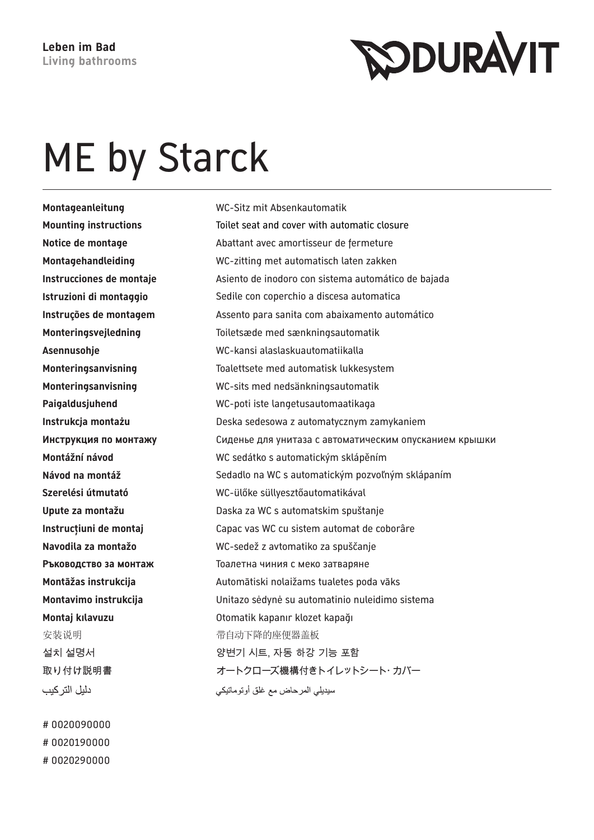## ME by Starck

**Montageanleitung** WC-Sitz mit Absenkautomatik 安装说明 有时候的的变体的座便器盖板 دليل التر كيب

# 0020090000 # 0020190000 # 0020290000

**Mounting instructions** Toilet seat and cover with automatic closure **Notice de montage** Abattant avec amortisseur de fermeture **Montagehandleiding** WC-zitting met automatisch laten zakken **Instrucciones de montaje** Asiento de inodoro con sistema automático de bajada **Istruzioni di montaggio** Sedile con coperchio a discesa automatica **Instruções de montagem** Assento para sanita com abaixamento automático **Monteringsvejledning** Toiletsæde med sænkningsautomatik **Asennusohje** WC-kansi alaslaskuautomatiikalla **Monteringsanvisning** Toalettsete med automatisk lukkesystem **Monteringsanvisning** WC-sits med nedsänkningsautomatik **Paigaldusjuhend** WC-poti iste langetusautomaatikaga **Instrukcja montażu** Deska sedesowa z automatycznym zamykaniem **Инструкция по монтажу** Сиденье для унитаза с автоматическим опусканием крышки **Montážní návod** WC sedátko s automatickým sklápěním Návod na montáž **Sedadlo na WC s automatickým pozvoľným sklápaním Szerelési útmutató** WC-ülőke süllyesztőautomatikával **Upute za montažu** Daska za WC s automatskim spuštanje **Instrucţiuni de montaj** Capac vas WC cu sistem automat de coborâre **Navodila za montažo** WC-sedež z avtomatiko za spuščanje **Ръководство за монтаж** Тоалетна чиния с меко затваряне **Montāžas instrukcija** Automātiski nolaižams tualetes poda vāks **Montavimo instrukcija** Unitazo sėdynė su automatinio nuleidimo sistema **Montaj kılavuzu** Otomatik kapanır klozet kapağı 설치 설명서 양변기 시트, 자동 하강 기능 포함 取り付け説明書 オートクローズ機構付きトイレットシート・カバー سيديلي المرحاض مع غلق أوتوماتيكي